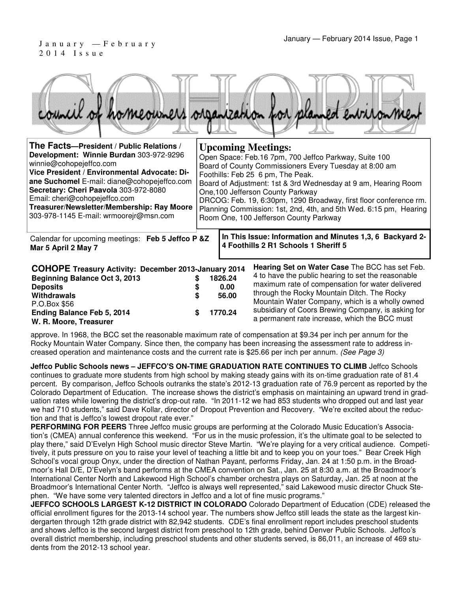# 2 0 1 4 I s s u e

|  |  |  | council of homeowners organization for planned environment |
|--|--|--|------------------------------------------------------------|
|  |  |  |                                                            |

| The Facts--President / Public Relations /<br>Development: Winnie Burdan 303-972-9296<br>winnie@cohopejeffco.com<br>Vice President / Environmental Advocate: Di-<br>ane Suchomel E-mail: diane@cohopejeffco.com<br>Secretary: Cheri Paavola 303-972-8080<br>Email: cheri@cohopejeffco.com<br>Treasurer/Newsletter/Membership: Ray Moore<br>303-978-1145 E-mail: wrmoorejr@msn.com |        | <b>Upcoming Meetings:</b><br>Open Space: Feb.16 7pm, 700 Jeffco Parkway, Suite 100<br>Board of County Commissioners Every Tuesday at 8:00 am<br>Foothills: Feb 25 6 pm, The Peak.<br>Board of Adjustment: 1st & 3rd Wednesday at 9 am, Hearing Room<br>One, 100 Jefferson County Parkway<br>DRCOG: Feb. 19, 6:30pm, 1290 Broadway, first floor conference rm.<br>Planning Commission: 1st, 2nd, 4th, and 5th Wed. 6:15 pm, Hearing<br>Room One, 100 Jefferson County Parkway |                                                                                                                                                                                                                                                                                                                                                                          |  |  |  |
|----------------------------------------------------------------------------------------------------------------------------------------------------------------------------------------------------------------------------------------------------------------------------------------------------------------------------------------------------------------------------------|--------|------------------------------------------------------------------------------------------------------------------------------------------------------------------------------------------------------------------------------------------------------------------------------------------------------------------------------------------------------------------------------------------------------------------------------------------------------------------------------|--------------------------------------------------------------------------------------------------------------------------------------------------------------------------------------------------------------------------------------------------------------------------------------------------------------------------------------------------------------------------|--|--|--|
| Calendar for upcoming meetings: Feb 5 Jeffco P &Z<br>Mar 5 April 2 May 7                                                                                                                                                                                                                                                                                                         |        |                                                                                                                                                                                                                                                                                                                                                                                                                                                                              | In This Issue: Information and Minutes 1,3, 6 Backyard 2-<br>4 Foothills 2 R1 Schools 1 Sheriff 5                                                                                                                                                                                                                                                                        |  |  |  |
| <b>COHOPE Treasury Activity: December 2013-January 2014</b><br>Beginning Balance Oct 3, 2013<br><b>Deposits</b><br>Withdrawals<br>P.O.Box \$56<br>Ending Balance Feb 5, 2014<br>W. R. Moore, Treasurer                                                                                                                                                                           | S<br>S | 1826.24<br>0.00<br>56.00<br>1770.24                                                                                                                                                                                                                                                                                                                                                                                                                                          | <b>Hearing Set on Water Case The BCC has set Feb.</b><br>4 to have the public hearing to set the reasonable<br>maximum rate of compensation for water delivered<br>through the Rocky Mountain Ditch. The Rocky<br>Mountain Water Company, which is a wholly owned<br>subsidiary of Coors Brewing Company, is asking for<br>a permanent rate increase, which the BCC must |  |  |  |

approve. In 1968, the BCC set the reasonable maximum rate of compensation at \$9.34 per inch per annum for the Rocky Mountain Water Company. Since then, the company has been increasing the assessment rate to address increased operation and maintenance costs and the current rate is \$25.66 per inch per annum. (See Page 3)

**Jeffco Public Schools news – JEFFCO'S ON-TIME GRADUATION RATE CONTINUES TO CLIMB** Jeffco Schools continues to graduate more students from high school by making steady gains with its on-time graduation rate of 81.4 percent. By comparison, Jeffco Schools outranks the state's 2012-13 graduation rate of 76.9 percent as reported by the Colorado Department of Education. The increase shows the district's emphasis on maintaining an upward trend in graduation rates while lowering the district's drop-out rate. "In 2011-12 we had 853 students who dropped out and last year we had 710 students," said Dave Kollar, director of Dropout Prevention and Recovery. "We're excited about the reduction and that is Jeffco's lowest dropout rate ever."

**PERFORMING FOR PEERS** Three Jeffco music groups are performing at the Colorado Music Education's Association's (CMEA) annual conference this weekend. "For us in the music profession, it's the ultimate goal to be selected to play there," said D'Evelyn High School music director Steve Martin. "We're playing for a very critical audience. Competitively, it puts pressure on you to raise your level of teaching a little bit and to keep you on your toes." Bear Creek High School's vocal group Onyx, under the direction of Nathan Payant, performs Friday, Jan. 24 at 1:50 p.m. in the Broadmoor's Hall D/E, D'Evelyn's band performs at the CMEA convention on Sat., Jan. 25 at 8:30 a.m. at the Broadmoor's International Center North and Lakewood High School's chamber orchestra plays on Saturday, Jan. 25 at noon at the Broadmoor's International Center North. "Jeffco is always well represented," said Lakewood music director Chuck Stephen. "We have some very talented directors in Jeffco and a lot of fine music programs."

**JEFFCO SCHOOLS LARGEST K-12 DISTRICT IN COLORADO** Colorado Department of Education (CDE) released the official enrollment figures for the 2013-14 school year. The numbers show Jeffco still leads the state as the largest kindergarten through 12th grade district with 82,942 students. CDE's final enrollment report includes preschool students and shows Jeffco is the second largest district from preschool to 12th grade, behind Denver Public Schools. Jeffco's overall district membership, including preschool students and other students served, is 86,011, an increase of 469 students from the 2012-13 school year.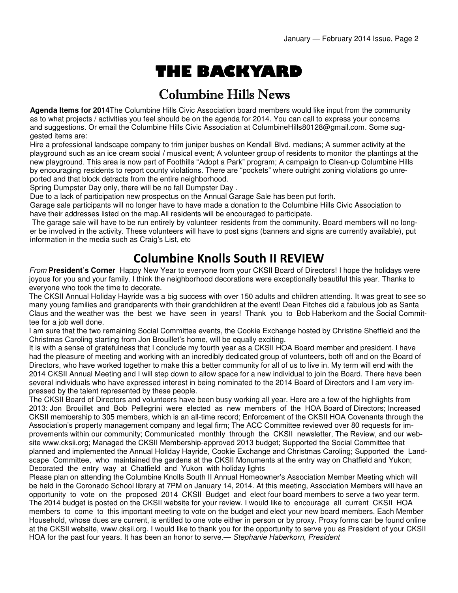# THE BACKYARD

### Columbine Hills News

**Agenda Items for 2014**The Columbine Hills Civic Association board members would like input from the community as to what projects / activities you feel should be on the agenda for 2014. You can call to express your concerns and suggestions. Or email the Columbine Hills Civic Association at ColumbineHills80128@gmail.com. Some suggested items are:

Hire a professional landscape company to trim juniper bushes on Kendall Blvd. medians; A summer activity at the playground such as an ice cream social / musical event; A volunteer group of residents to monitor the plantings at the new playground. This area is now part of Foothills "Adopt a Park" program; A campaign to Clean-up Columbine Hills by encouraging residents to report county violations. There are "pockets" where outright zoning violations go unreported and that block detracts from the entire neighborhood.

Spring Dumpster Day only, there will be no fall Dumpster Day .

Due to a lack of participation new prospectus on the Annual Garage Sale has been put forth.

Garage sale participants will no longer have to have made a donation to the Columbine Hills Civic Association to have their addresses listed on the map.All residents will be encouraged to participate.

 The garage sale will have to be run entirely by volunteer residents from the community. Board members will no longer be involved in the activity. These volunteers will have to post signs (banners and signs are currently available), put information in the media such as Craig's List, etc

#### Columbine Knolls South II REVIEW

From **President's Corner** Happy New Year to everyone from your CKSII Board of Directors! I hope the holidays were joyous for you and your family. I think the neighborhood decorations were exceptionally beautiful this year. Thanks to everyone who took the time to decorate.

The CKSII Annual Holiday Hayride was a big success with over 150 adults and children attending. It was great to see so many young families and grandparents with their grandchildren at the event! Dean Fitches did a fabulous job as Santa Claus and the weather was the best we have seen in years! Thank you to Bob Haberkorn and the Social Committee for a job well done.

I am sure that the two remaining Social Committee events, the Cookie Exchange hosted by Christine Sheffield and the Christmas Caroling starting from Jon Brouillet's home, will be equally exciting.

It is with a sense of gratefulness that I conclude my fourth year as a CKSII HOA Board member and president. I have had the pleasure of meeting and working with an incredibly dedicated group of volunteers, both off and on the Board of Directors, who have worked together to make this a better community for all of us to live in. My term will end with the 2014 CKSII Annual Meeting and I will step down to allow space for a new individual to join the Board. There have been several individuals who have expressed interest in being nominated to the 2014 Board of Directors and I am very impressed by the talent represented by these people.

The CKSII Board of Directors and volunteers have been busy working all year. Here are a few of the highlights from 2013: Jon Brouillet and Bob Pellegrini were elected as new members of the HOA Board of Directors; Increased CKSII membership to 305 members, which is an all-time record; Enforcement of the CKSII HOA Covenants through the Association's property management company and legal firm; The ACC Committee reviewed over 80 requests for improvements within our community; Communicated monthly through the CKSII newsletter, The Review, and our website www.cksii.org; Managed the CKSII Membership-approved 2013 budget; Supported the Social Committee that planned and implemented the Annual Holiday Hayride, Cookie Exchange and Christmas Caroling; Supported the Landscape Committee, who maintained the gardens at the CKSII Monuments at the entry way on Chatfield and Yukon; Decorated the entry way at Chatfield and Yukon with holiday lights

Please plan on attending the Columbine Knolls South II Annual Homeowner's Association Member Meeting which will be held in the Coronado School library at 7PM on January 14, 2014. At this meeting, Association Members will have an opportunity to vote on the proposed 2014 CKSII Budget and elect four board members to serve a two year term. The 2014 budget is posted on the CKSII website for your review. I would like to encourage all current CKSII HOA members to come to this important meeting to vote on the budget and elect your new board members. Each Member Household, whose dues are current, is entitled to one vote either in person or by proxy. Proxy forms can be found online at the CKSII website, www.cksii.org. I would like to thank you for the opportunity to serve you as President of your CKSII HOA for the past four years. It has been an honor to serve.— Stephanie Haberkorn, President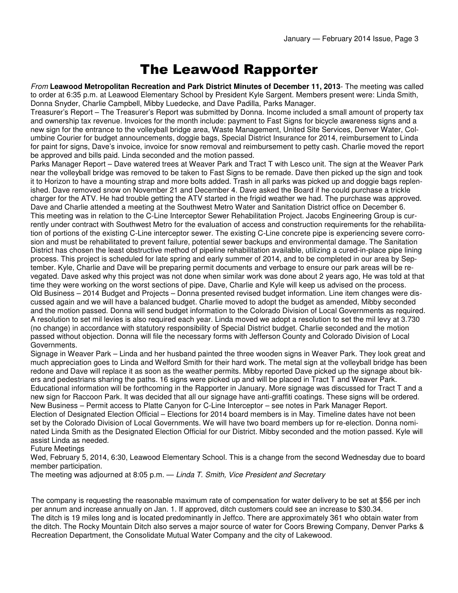### The Leawood Rapporter

From **Leawood Metropolitan Recreation and Park District Minutes of December 11, 2013**- The meeting was called to order at 6:35 p.m. at Leawood Elementary School by President Kyle Sargent. Members present were: Linda Smith, Donna Snyder, Charlie Campbell, Mibby Luedecke, and Dave Padilla, Parks Manager.

Treasurer's Report – The Treasurer's Report was submitted by Donna. Income included a small amount of property tax and ownership tax revenue. Invoices for the month include: payment to Fast Signs for bicycle awareness signs and a new sign for the entrance to the volleyball bridge area, Waste Management, United Site Services, Denver Water, Columbine Courier for budget announcements, doggie bags, Special District Insurance for 2014, reimbursement to Linda for paint for signs, Dave's invoice, invoice for snow removal and reimbursement to petty cash. Charlie moved the report be approved and bills paid. Linda seconded and the motion passed.

Parks Manager Report – Dave watered trees at Weaver Park and Tract T with Lesco unit. The sign at the Weaver Park near the volleyball bridge was removed to be taken to Fast Signs to be remade. Dave then picked up the sign and took it to Horizon to have a mounting strap and more bolts added. Trash in all parks was picked up and doggie bags replenished. Dave removed snow on November 21 and December 4. Dave asked the Board if he could purchase a trickle charger for the ATV. He had trouble getting the ATV started in the frigid weather we had. The purchase was approved. Dave and Charlie attended a meeting at the Southwest Metro Water and Sanitation District office on December 6. This meeting was in relation to the C-Line Interceptor Sewer Rehabilitation Project. Jacobs Engineering Group is currently under contract with Southwest Metro for the evaluation of access and construction requirements for the rehabilitation of portions of the existing C-Line interceptor sewer. The existing C-Line concrete pipe is experiencing severe corrosion and must be rehabilitated to prevent failure, potential sewer backups and environmental damage. The Sanitation District has chosen the least obstructive method of pipeline rehabilitation available, utilizing a cured-in-place pipe lining process. This project is scheduled for late spring and early summer of 2014, and to be completed in our area by September. Kyle, Charlie and Dave will be preparing permit documents and verbage to ensure our park areas will be revegated. Dave asked why this project was not done when similar work was done about 2 years ago, He was told at that time they were working on the worst sections of pipe. Dave, Charlie and Kyle will keep us advised on the process. Old Business – 2014 Budget and Projects – Donna presented revised budget information. Line item changes were discussed again and we will have a balanced budget. Charlie moved to adopt the budget as amended, Mibby seconded and the motion passed. Donna will send budget information to the Colorado Division of Local Governments as required. A resolution to set mil levies is also required each year. Linda moved we adopt a resolution to set the mil levy at 3.730 (no change) in accordance with statutory responsibility of Special District budget. Charlie seconded and the motion passed without objection. Donna will file the necessary forms with Jefferson County and Colorado Division of Local Governments.

Signage in Weaver Park – Linda and her husband painted the three wooden signs in Weaver Park. They look great and much appreciation goes to Linda and Welford Smith for their hard work. The metal sign at the volleyball bridge has been redone and Dave will replace it as soon as the weather permits. Mibby reported Dave picked up the signage about bikers and pedestrians sharing the paths. 16 signs were picked up and will be placed in Tract T and Weaver Park. Educational information will be forthcoming in the Rapporter in January. More signage was discussed for Tract T and a new sign for Raccoon Park. It was decided that all our signage have anti-graffiti coatings. These signs will be ordered. New Business – Permit access to Platte Canyon for C-Line Interceptor – see notes in Park Manager Report. Election of Designated Election Official – Elections for 2014 board members is in May. Timeline dates have not been set by the Colorado Division of Local Governments. We will have two board members up for re-election. Donna nominated Linda Smith as the Designated Election Official for our District. Mibby seconded and the motion passed. Kyle will assist Linda as needed.

Future Meetings

Wed, February 5, 2014, 6:30, Leawood Elementary School. This is a change from the second Wednesday due to board member participation.

The meeting was adjourned at 8:05 p.m. — Linda T. Smith, Vice President and Secretary

The company is requesting the reasonable maximum rate of compensation for water delivery to be set at \$56 per inch per annum and increase annually on Jan. 1. If approved, ditch customers could see an increase to \$30.34. The ditch is 19 miles long and is located predominantly in Jeffco. There are approximately 361 who obtain water from the ditch. The Rocky Mountain Ditch also serves a major source of water for Coors Brewing Company, Denver Parks & Recreation Department, the Consolidate Mutual Water Company and the city of Lakewood.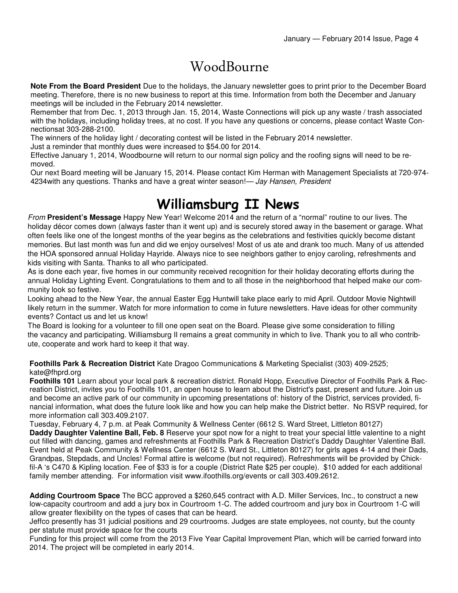## WoodBourne

**Note From the Board President** Due to the holidays, the January newsletter goes to print prior to the December Board meeting. Therefore, there is no new business to report at this time. Information from both the December and January meetings will be included in the February 2014 newsletter.

Remember that from Dec. 1, 2013 through Jan. 15, 2014, Waste Connections will pick up any waste / trash associated with the holidays, including holiday trees, at no cost. If you have any questions or concerns, please contact Waste Connectionsat 303-288-2100.

The winners of the holiday light / decorating contest will be listed in the February 2014 newsletter.

Just a reminder that monthly dues were increased to \$54.00 for 2014.

Effective January 1, 2014, Woodbourne will return to our normal sign policy and the roofing signs will need to be removed.

Our next Board meeting will be January 15, 2014. Please contact Kim Herman with Management Specialists at 720-974- 4234 with any questions. Thanks and have a great winter season!— Jay Hansen, President

### Williamsburg II News

From **President's Message** Happy New Year! Welcome 2014 and the return of a "normal" routine to our lives. The holiday décor comes down (always faster than it went up) and is securely stored away in the basement or garage. What often feels like one of the longest months of the year begins as the celebrations and festivities quickly become distant memories. But last month was fun and did we enjoy ourselves! Most of us ate and drank too much. Many of us attended the HOA sponsored annual Holiday Hayride. Always nice to see neighbors gather to enjoy caroling, refreshments and kids visiting with Santa. Thanks to all who participated.

As is done each year, five homes in our community received recognition for their holiday decorating efforts during the annual Holiday Lighting Event. Congratulations to them and to all those in the neighborhood that helped make our community look so festive.

Looking ahead to the New Year, the annual Easter Egg Huntwill take place early to mid April. Outdoor Movie Nightwill likely return in the summer. Watch for more information to come in future newsletters. Have ideas for other community events? Contact us and let us know!

The Board is looking for a volunteer to fill one open seat on the Board. Please give some consideration to filling the vacancy and participating. Williamsburg II remains a great community in which to live. Thank you to all who contribute, cooperate and work hard to keep it that way.

**Foothills Park & Recreation District** Kate Dragoo Communications & Marketing Specialist (303) 409-2525; kate@fhprd.org

**Foothills 101** Learn about your local park & recreation district. Ronald Hopp, Executive Director of Foothills Park & Recreation District, invites you to Foothills 101, an open house to learn about the District's past, present and future. Join us and become an active park of our community in upcoming presentations of: history of the District, services provided, financial information, what does the future look like and how you can help make the District better. No RSVP required, for more information call 303.409.2107.

Tuesday, February 4, 7 p.m. at Peak Community & Wellness Center (6612 S. Ward Street, Littleton 80127) **Daddy Daughter Valentine Ball, Feb. 8** Reserve your spot now for a night to treat your special little valentine to a night out filled with dancing, games and refreshments at Foothills Park & Recreation District's Daddy Daughter Valentine Ball. Event held at Peak Community & Wellness Center (6612 S. Ward St., Littleton 80127) for girls ages 4-14 and their Dads, Grandpas, Stepdads, and Uncles! Formal attire is welcome (but not required). Refreshments will be provided by Chickfil-A 's C470 & Kipling location. Fee of \$33 is for a couple (District Rate \$25 per couple). \$10 added for each additional family member attending. For information visit www.ifoothills.org/events or call 303.409.2612.

**Adding Courtroom Space** The BCC approved a \$260,645 contract with A.D. Miller Services, Inc., to construct a new low-capacity courtroom and add a jury box in Courtroom 1-C. The added courtroom and jury box in Courtroom 1-C will allow greater flexibility on the types of cases that can be heard.

Jeffco presently has 31 judicial positions and 29 courtrooms. Judges are state employees, not county, but the county per statute must provide space for the courts

Funding for this project will come from the 2013 Five Year Capital Improvement Plan, which will be carried forward into 2014. The project will be completed in early 2014.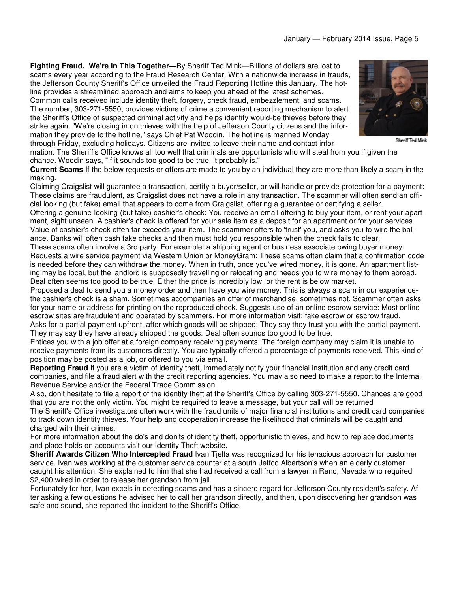**Fighting Fraud. We're In This Together—**By Sheriff Ted Mink—Billions of dollars are lost to scams every year according to the Fraud Research Center. With a nationwide increase in frauds, the Jefferson County Sheriff's Office unveiled the Fraud Reporting Hotline this January. The hotline provides a streamlined approach and aims to keep you ahead of the latest schemes.

Common calls received include identity theft, forgery, check fraud, embezzlement, and scams. The number, 303-271-5550, provides victims of crime a convenient reporting mechanism to alert the Sheriff's Office of suspected criminal activity and helps identify would-be thieves before they strike again. "We're closing in on thieves with the help of Jefferson County citizens and the information they provide to the hotline," says Chief Pat Woodin. The hotline is manned Monday

through Friday, excluding holidays. Citizens are invited to leave their name and contact information. The Sheriff's Office knows all too well that criminals are opportunists who will steal from you if given the

chance. Woodin says, "If it sounds too good to be true, it probably is."

**Current Scams** If the below requests or offers are made to you by an individual they are more than likely a scam in the making.

Claiming Craigslist will guarantee a transaction, certify a buyer/seller, or will handle or provide protection for a payment: These claims are fraudulent, as Craigslist does not have a role in any transaction. The scammer will often send an official looking (but fake) email that appears to come from Craigslist, offering a guarantee or certifying a seller.

Offering a genuine-looking (but fake) cashier's check: You receive an email offering to buy your item, or rent your apartment, sight unseen. A cashier's check is offered for your sale item as a deposit for an apartment or for your services. Value of cashier's check often far exceeds your item. The scammer offers to 'trust' you, and asks you to wire the balance. Banks will often cash fake checks and then must hold you responsible when the check fails to clear.

These scams often involve a 3rd party. For example: a shipping agent or business associate owing buyer money. Requests a wire service payment via Western Union or MoneyGram: These scams often claim that a confirmation code is needed before they can withdraw the money. When in truth, once you've wired money, it is gone. An apartment listing may be local, but the landlord is supposedly travelling or relocating and needs you to wire money to them abroad. Deal often seems too good to be true. Either the price is incredibly low, or the rent is below market.

Proposed a deal to send you a money order and then have you wire money: This is always a scam in our experiencethe cashier's check is a sham. Sometimes accompanies an offer of merchandise, sometimes not. Scammer often asks for your name or address for printing on the reproduced check. Suggests use of an online escrow service: Most online escrow sites are fraudulent and operated by scammers. For more information visit: fake escrow or escrow fraud. Asks for a partial payment upfront, after which goods will be shipped: They say they trust you with the partial payment. They may say they have already shipped the goods. Deal often sounds too good to be true.

Entices you with a job offer at a foreign company receiving payments: The foreign company may claim it is unable to receive payments from its customers directly. You are typically offered a percentage of payments received. This kind of position may be posted as a job, or offered to you via email.

**Reporting Fraud** If you are a victim of identity theft, immediately notify your financial institution and any credit card companies, and file a fraud alert with the credit reporting agencies. You may also need to make a report to the Internal Revenue Service and/or the Federal Trade Commission.

Also, don't hesitate to file a report of the identity theft at the Sheriff's Office by calling 303-271-5550. Chances are good that you are not the only victim. You might be required to leave a message, but your call will be returned

The Sheriff's Office investigators often work with the fraud units of major financial institutions and credit card companies to track down identity thieves. Your help and cooperation increase the likelihood that criminals will be caught and charged with their crimes.

For more information about the do's and don'ts of identity theft, opportunistic thieves, and how to replace documents and place holds on accounts visit our Identity Theft website.

**Sheriff Awards Citizen Who Intercepted Fraud** Ivan Tjelta was recognized for his tenacious approach for customer service. Ivan was working at the customer service counter at a south Jeffco Albertson's when an elderly customer caught his attention. She explained to him that she had received a call from a lawyer in Reno, Nevada who required \$2,400 wired in order to release her grandson from jail.

Fortunately for her, Ivan excels in detecting scams and has a sincere regard for Jefferson County resident's safety. After asking a few questions he advised her to call her grandson directly, and then, upon discovering her grandson was safe and sound, she reported the incident to the Sheriff's Office.



Sheriff Ted Mink